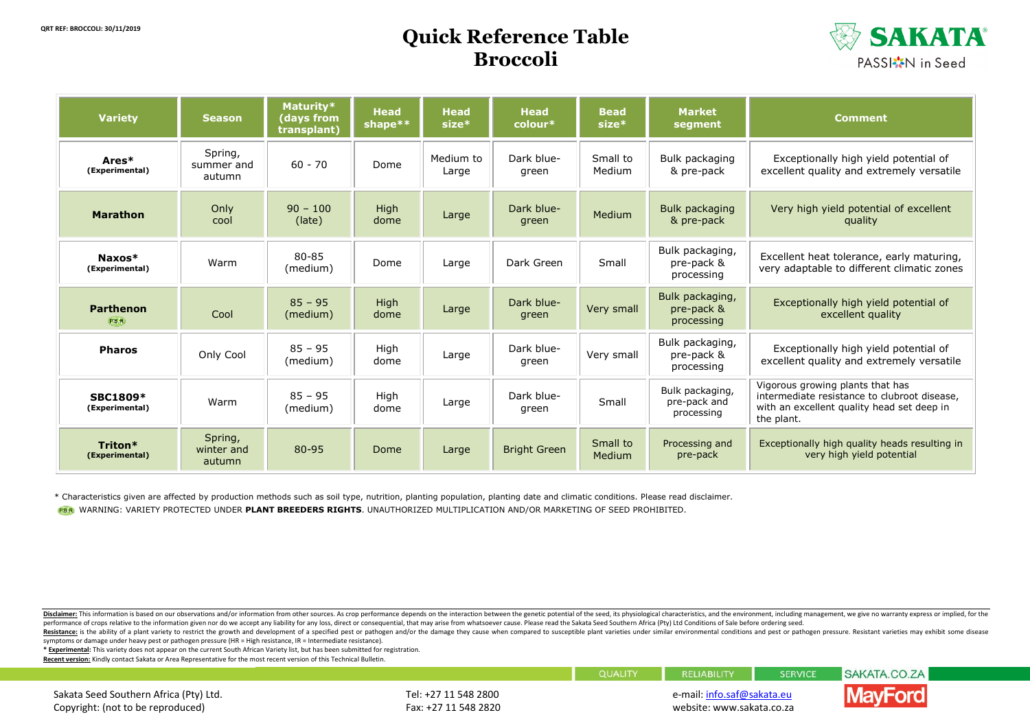## **Quick Reference Table Broccoli**



| <b>Variety</b>                    | <b>Season</b>                   | Maturity*<br>(days from<br>transplant) | <b>Head</b><br>shape** | <b>Head</b><br>$size*$ | <b>Head</b><br>$\overline{\mathsf{colour}^*}$ | <b>Bead</b><br>$size*$ | <b>Market</b><br>segment                      | <b>Comment</b>                                                                                                                               |  |
|-----------------------------------|---------------------------------|----------------------------------------|------------------------|------------------------|-----------------------------------------------|------------------------|-----------------------------------------------|----------------------------------------------------------------------------------------------------------------------------------------------|--|
| Ares*<br>(Experimental)           | Spring,<br>summer and<br>autumn | $60 - 70$                              | Dome                   | Medium to<br>Large     | Dark blue-<br>green                           | Small to<br>Medium     | Bulk packaging<br>& pre-pack                  | Exceptionally high yield potential of<br>excellent quality and extremely versatile                                                           |  |
| <b>Marathon</b>                   | Only<br>cool                    | $90 - 100$<br>(late)                   | High<br>dome           | Large                  | Dark blue-<br>green                           | Medium                 | Bulk packaging<br>& pre-pack                  | Very high yield potential of excellent<br>quality                                                                                            |  |
| Naxos*<br>(Experimental)          | Warm                            | 80-85<br>(medium)                      | Dome                   | Large                  | Dark Green                                    | Small                  | Bulk packaging,<br>pre-pack &<br>processing   | Excellent heat tolerance, early maturing,<br>very adaptable to different climatic zones                                                      |  |
| <b>Parthenon</b><br><b>P.B.R.</b> | Cool                            | $85 - 95$<br>(medium)                  | High<br>dome           | Large                  | Dark blue-<br>green                           | Very small             | Bulk packaging,<br>pre-pack &<br>processing   | Exceptionally high yield potential of<br>excellent quality                                                                                   |  |
| <b>Pharos</b>                     | Only Cool                       | $85 - 95$<br>(medium)                  | High<br>dome           | Large                  | Dark blue-<br>green                           | Very small             | Bulk packaging,<br>pre-pack &<br>processing   | Exceptionally high yield potential of<br>excellent quality and extremely versatile                                                           |  |
| <b>SBC1809*</b><br>(Experimental) | Warm                            | $85 - 95$<br>(medium)                  | High<br>dome           | Large                  | Dark blue-<br>green                           | Small                  | Bulk packaging,<br>pre-pack and<br>processing | Vigorous growing plants that has<br>intermediate resistance to clubroot disease,<br>with an excellent quality head set deep in<br>the plant. |  |
| Triton*<br>(Experimental)         | Spring,<br>winter and<br>autumn | 80-95                                  | Dome                   | Large                  | <b>Bright Green</b>                           | Small to<br>Medium     | Processing and<br>pre-pack                    | Exceptionally high quality heads resulting in<br>very high yield potential                                                                   |  |

\* Characteristics given are affected by production methods such as soil type, nutrition, planting population, planting date and climatic conditions. Please read disclaimer.

WARNING: VARIETY PROTECTED UNDER **PLANT BREEDERS RIGHTS**. UNAUTHORIZED MULTIPLICATION AND/OR MARKETING OF SEED PROHIBITED.

Disclaimer: This information is based on our observations and/or information from other sources. As crop performance depends on the interaction between the genetic potential of the seed, its physiological characteristics, performance of crops relative to the information given nor do we accept any liability for any loss, direct or consequential, that may arise from whatsoever cause. Please read the Sakata Seed Southern Africa (Pty) Ltd Condi

Resistance: is the ability of a plant variety to restrict the growth and development of a specified pest or pathogen and/or the damage they cause when compared to susceptible plant varieties under similar environmental con symptoms or damage under heavy pest or pathogen pressure (HR = High resistance, IR = Intermediate resistance).

**\* Experimental:** This variety does not appear on the current South African Variety list, but has been submitted for registration.

**Recent version:** Kindly contact Sakata or Area Representative for the most recent version of this Technical Bulletin.

|                                                                |                      | <b>QUALITY</b> | <b>RELIABILITY</b>         | <b>SERVICE</b> |  |
|----------------------------------------------------------------|----------------------|----------------|----------------------------|----------------|--|
| Sakata Seed Southern Africa (Pty) Ltd.<br>Tel: +27 11 548 2800 |                      |                | e-mail: info.saf@sakata.eu |                |  |
| Copyright: (not to be reproduced)                              | Fax: +27 11 548 2820 |                | website: www.sakata.co.za  |                |  |